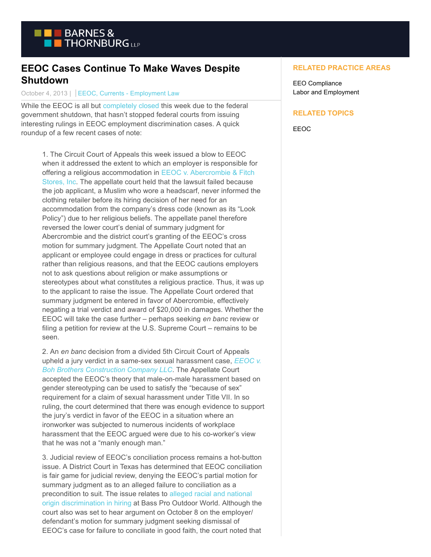

## **EEOC Cases Continue To Make Waves Despite Shutdown**

October 4, 2013 | EEOC, Currents - Employment Law

While the EEOC is all but [completely closed t](http://www.eeoc.gov/eeoc/shutdown_notice.cfm)his week due to the federal government shutdown, that hasn't stopped federal courts from issuing interesting rulings in EEOC employment discrimination cases. A quick roundup of a few recent cases of note:

1. The Circuit Court of Appeals this week issued a blow to EEOC when it addressed the extent to which an employer is responsible for offering a religious accommodation in [EEOC v. Abercrombie & Fitch](http://www.ca10.uscourts.gov/opinions/this_week/pdf/11-5110.pdf) Stores, Inc. The appellate court held that the lawsuit failed because the job applicant, a Muslim who wore a headscarf, never informed the clothing retailer before its hiring decision of her need for an accommodation from the company's dress code (known as its "Look Policy") due to her religious beliefs. The appellate panel therefore reversed the lower court's denial of summary judgment for Abercrombie and the district court's granting of the EEOC's cross motion for summary judgment. The Appellate Court noted that an applicant or employee could engage in dress or practices for cultural rather than religious reasons, and that the EEOC cautions employers not to ask questions about religion or make assumptions or stereotypes about what constitutes a religious practice. Thus, it was up to the applicant to raise the issue. The Appellate Court ordered that summary judgment be entered in favor of Abercrombie, effectively negating a trial verdict and award of \$20,000 in damages. Whether the EEOC will take the case further – perhaps seeking *en banc* review or filing a petition for review at the U.S. Supreme Court – remains to be seen.

2. An *en banc* decision from a divided 5th Circuit Court of Appeals upheld a jury verdict in a same-sex sexual harassment case, *[EEOC v.](http://www.ca5.uscourts.gov/opinions/pub/11/11-30770-CV2.wpd.pdf) Boh Brothers Construction Company LLC*. The Appellate Court accepted the EEOC's theory that male-on-male harassment based on gender stereotyping can be used to satisfy the "because of sex" requirement for a claim of sexual harassment under Title VII. In so ruling, the court determined that there was enough evidence to support the jury's verdict in favor of the EEOC in a situation where an ironworker was subjected to numerous incidents of workplace harassment that the EEOC argued were due to his co-worker's view that he was not a "manly enough man."

3. Judicial review of EEOC's conciliation process remains a hot-button issue. A District Court in Texas has determined that EEOC conciliation is fair game for judicial review, denying the EEOC's partial motion for summary judgment as to an alleged failure to conciliation as a precondition to suit. The issue relates to [alleged racial and national](http://hr.cch.com/eld/eeocbasspro2.pdf) origin discrimination in hiring at Bass Pro Outdoor World. Although the court also was set to hear argument on October 8 on the employer/ defendant's motion for summary judgment seeking dismissal of EEOC's case for failure to conciliate in good faith, the court noted that

## **RELATED PRACTICE AREAS**

EEO Compliance Labor and Employment

## **RELATED TOPICS**

EEOC